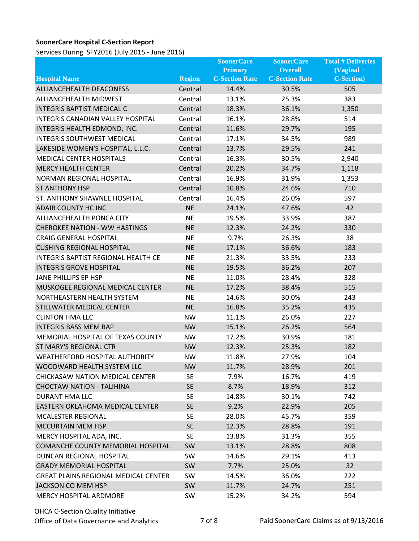## **SoonerCare Hospital C-Section Report**

Services During SFY2016 (July 2015 - June 2016)

|                                             |               | <b>SoonerCare</b>     | <b>SoonerCare</b>     | <b>Total # Deliveries</b>         |
|---------------------------------------------|---------------|-----------------------|-----------------------|-----------------------------------|
|                                             |               | <b>Primary</b>        | <b>Overall</b>        | $\left( \text{Vaginal} + \right)$ |
| <b>Hospital Name</b>                        | <b>Region</b> | <b>C-Section Rate</b> | <b>C-Section Rate</b> | <b>C-Section</b> )                |
| ALLIANCEHEALTH DEACONESS                    | Central       | 14.4%                 | 30.5%                 | 505                               |
| ALLIANCEHEALTH MIDWEST                      | Central       | 13.1%                 | 25.3%                 | 383                               |
| <b>INTEGRIS BAPTIST MEDICAL C</b>           | Central       | 18.3%                 | 36.1%                 | 1,350                             |
| INTEGRIS CANADIAN VALLEY HOSPITAL           | Central       | 16.1%                 | 28.8%                 | 514                               |
| INTEGRIS HEALTH EDMOND, INC.                | Central       | 11.6%                 | 29.7%                 | 195                               |
| <b>INTEGRIS SOUTHWEST MEDICAL</b>           | Central       | 17.1%                 | 34.5%                 | 989                               |
| LAKESIDE WOMEN'S HOSPITAL, L.L.C.           | Central       | 13.7%                 | 29.5%                 | 241                               |
| <b>MEDICAL CENTER HOSPITALS</b>             | Central       | 16.3%                 | 30.5%                 | 2,940                             |
| <b>MERCY HEALTH CENTER</b>                  | Central       | 20.2%                 | 34.7%                 | 1,118                             |
| NORMAN REGIONAL HOSPITAL                    | Central       | 16.9%                 | 31.9%                 | 1,353                             |
| <b>ST ANTHONY HSP</b>                       | Central       | 10.8%                 | 24.6%                 | 710                               |
| ST. ANTHONY SHAWNEE HOSPITAL                | Central       | 16.4%                 | 26.0%                 | 597                               |
| <b>ADAIR COUNTY HC INC</b>                  | <b>NE</b>     | 24.1%                 | 47.6%                 | 42                                |
| ALLIANCEHEALTH PONCA CITY                   | <b>NE</b>     | 19.5%                 | 33.9%                 | 387                               |
| <b>CHEROKEE NATION - WW HASTINGS</b>        | <b>NE</b>     | 12.3%                 | 24.2%                 | 330                               |
| <b>CRAIG GENERAL HOSPITAL</b>               | <b>NE</b>     | 9.7%                  | 26.3%                 | 38                                |
| <b>CUSHING REGIONAL HOSPITAL</b>            | <b>NE</b>     | 17.1%                 | 36.6%                 | 183                               |
| <b>INTEGRIS BAPTIST REGIONAL HEALTH CE</b>  | <b>NE</b>     | 21.3%                 | 33.5%                 | 233                               |
| <b>INTEGRIS GROVE HOSPITAL</b>              | <b>NE</b>     | 19.5%                 | 36.2%                 | 207                               |
| JANE PHILLIPS EP HSP                        | <b>NE</b>     | 11.0%                 | 28.4%                 | 328                               |
| MUSKOGEE REGIONAL MEDICAL CENTER            | <b>NE</b>     | 17.2%                 | 38.4%                 | 515                               |
| NORTHEASTERN HEALTH SYSTEM                  | <b>NE</b>     | 14.6%                 | 30.0%                 | 243                               |
| STILLWATER MEDICAL CENTER                   | <b>NE</b>     | 16.8%                 | 35.2%                 | 435                               |
| <b>CLINTON HMA LLC</b>                      | <b>NW</b>     | 11.1%                 | 26.0%                 | 227                               |
| <b>INTEGRIS BASS MEM BAP</b>                | <b>NW</b>     | 15.1%                 | 26.2%                 | 564                               |
| MEMORIAL HOSPITAL OF TEXAS COUNTY           | <b>NW</b>     | 17.2%                 | 30.9%                 | 181                               |
| ST MARY'S REGIONAL CTR                      | <b>NW</b>     | 12.3%                 | 25.3%                 | 182                               |
| <b>WEATHERFORD HOSPITAL AUTHORITY</b>       | <b>NW</b>     | 11.8%                 | 27.9%                 | 104                               |
| WOODWARD HEALTH SYSTEM LLC                  | <b>NW</b>     | 11.7%                 | 28.9%                 | 201                               |
| CHICKASAW NATION MEDICAL CENTER             | <b>SE</b>     | 7.9%                  | 16.7%                 | 419                               |
| <b>CHOCTAW NATION - TALIHINA</b>            | <b>SE</b>     | 8.7%                  | 18.9%                 | 312                               |
| DURANT HMA LLC                              | <b>SE</b>     | 14.8%                 | 30.1%                 | 742                               |
| EASTERN OKLAHOMA MEDICAL CENTER             | <b>SE</b>     | 9.2%                  | 22.9%                 | 205                               |
| <b>MCALESTER REGIONAL</b>                   | SE.           | 28.0%                 | 45.7%                 | 359                               |
| MCCURTAIN MEM HSP                           | <b>SE</b>     | 12.3%                 | 28.8%                 | 191                               |
| MERCY HOSPITAL ADA, INC.                    | <b>SE</b>     | 13.8%                 | 31.3%                 | 355                               |
| COMANCHE COUNTY MEMORIAL HOSPITAL           | SW            | 13.1%                 | 28.8%                 | 808                               |
| DUNCAN REGIONAL HOSPITAL                    | SW            | 14.6%                 | 29.1%                 | 413                               |
| <b>GRADY MEMORIAL HOSPITAL</b>              | SW            | 7.7%                  | 25.0%                 | 32                                |
| <b>GREAT PLAINS REGIONAL MEDICAL CENTER</b> | SW            | 14.5%                 | 36.0%                 | 222                               |
| JACKSON CO MEM HSP                          | SW            | 11.7%                 | 24.7%                 | 251                               |
| MERCY HOSPITAL ARDMORE                      | SW            | 15.2%                 | 34.2%                 | 594                               |
|                                             |               |                       |                       |                                   |

OHCA C-Section Quality Initiative